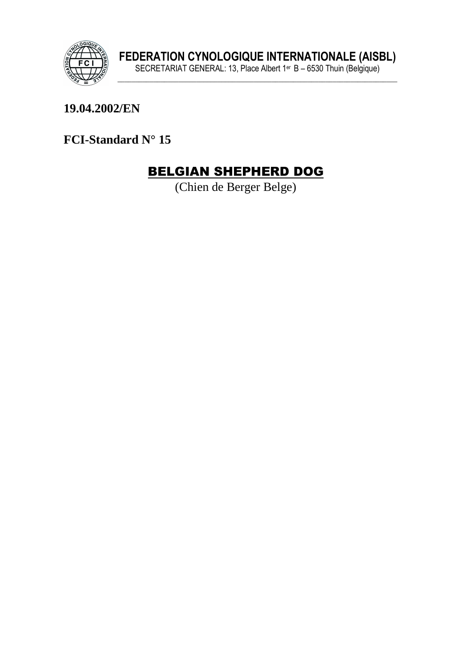

#### **19.04.2002/EN**

**FCI-Standard N° 15** 

# BELGIAN SHEPHERD DOG

(Chien de Berger Belge)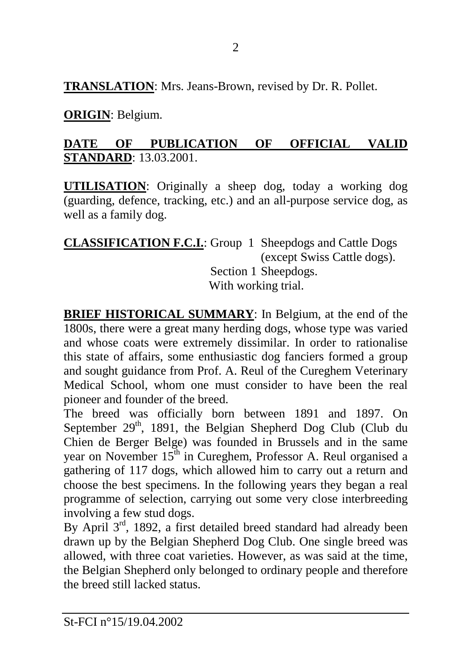**TRANSLATION**: Mrs. Jeans-Brown, revised by Dr. R. Pollet.

**ORIGIN**: Belgium.

### **DATE OF PUBLICATION OF OFFICIAL VALID STANDARD**: 13.03.2001.

**UTILISATION**: Originally a sheep dog, today a working dog (guarding, defence, tracking, etc.) and an all-purpose service dog, as well as a family dog.

| <b>CLASSIFICATION F.C.L:</b> Group 1 Sheepdogs and Cattle Dogs |  |                             |
|----------------------------------------------------------------|--|-----------------------------|
|                                                                |  | (except Swiss Cattle dogs). |
| Section 1 Sheepdogs.                                           |  |                             |
| With working trial.                                            |  |                             |

**BRIEF HISTORICAL SUMMARY**: In Belgium, at the end of the 1800s, there were a great many herding dogs, whose type was varied and whose coats were extremely dissimilar. In order to rationalise this state of affairs, some enthusiastic dog fanciers formed a group and sought guidance from Prof. A. Reul of the Cureghem Veterinary Medical School, whom one must consider to have been the real pioneer and founder of the breed.

The breed was officially born between 1891 and 1897. On September 29<sup>th</sup>, 1891, the Belgian Shepherd Dog Club (Club du Chien de Berger Belge) was founded in Brussels and in the same year on November 15<sup>th</sup> in Cureghem, Professor A. Reul organised a gathering of 117 dogs, which allowed him to carry out a return and choose the best specimens. In the following years they began a real programme of selection, carrying out some very close interbreeding involving a few stud dogs.

By April 3<sup>rd</sup>, 1892, a first detailed breed standard had already been drawn up by the Belgian Shepherd Dog Club. One single breed was allowed, with three coat varieties. However, as was said at the time, the Belgian Shepherd only belonged to ordinary people and therefore the breed still lacked status.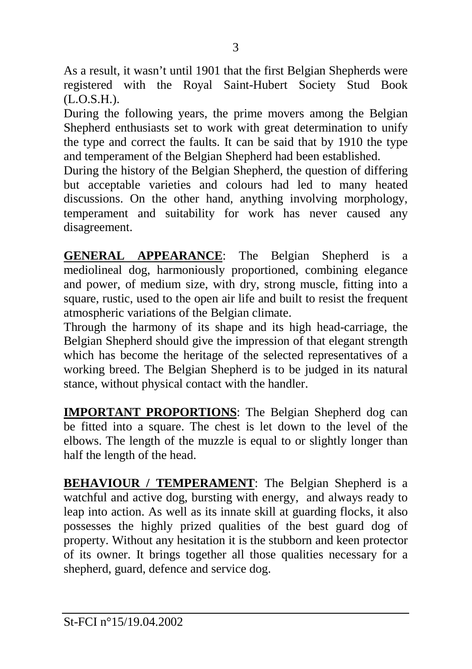As a result, it wasn't until 1901 that the first Belgian Shepherds were registered with the Royal Saint-Hubert Society Stud Book (L.O.S.H.).

During the following years, the prime movers among the Belgian Shepherd enthusiasts set to work with great determination to unify the type and correct the faults. It can be said that by 1910 the type and temperament of the Belgian Shepherd had been established.

During the history of the Belgian Shepherd, the question of differing but acceptable varieties and colours had led to many heated discussions. On the other hand, anything involving morphology, temperament and suitability for work has never caused any disagreement.

**GENERAL APPEARANCE**: The Belgian Shepherd is a mediolineal dog, harmoniously proportioned, combining elegance and power, of medium size, with dry, strong muscle, fitting into a square, rustic, used to the open air life and built to resist the frequent atmospheric variations of the Belgian climate.

Through the harmony of its shape and its high head-carriage, the Belgian Shepherd should give the impression of that elegant strength which has become the heritage of the selected representatives of a working breed. The Belgian Shepherd is to be judged in its natural stance, without physical contact with the handler.

**IMPORTANT PROPORTIONS**: The Belgian Shepherd dog can be fitted into a square. The chest is let down to the level of the elbows. The length of the muzzle is equal to or slightly longer than half the length of the head.

**BEHAVIOUR / TEMPERAMENT**: The Belgian Shepherd is a watchful and active dog, bursting with energy, and always ready to leap into action. As well as its innate skill at guarding flocks, it also possesses the highly prized qualities of the best guard dog of property. Without any hesitation it is the stubborn and keen protector of its owner. It brings together all those qualities necessary for a shepherd, guard, defence and service dog.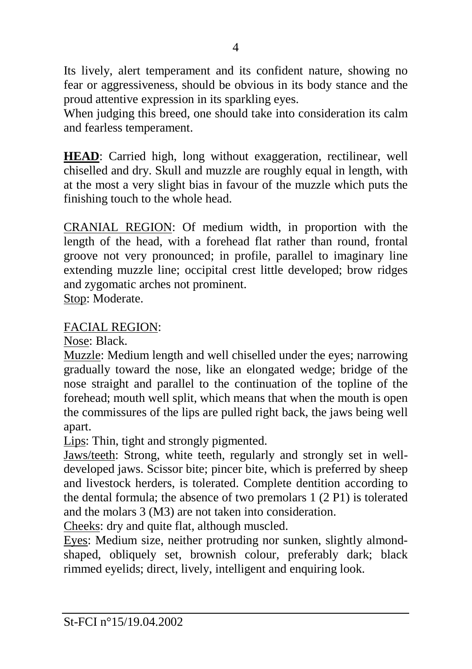Its lively, alert temperament and its confident nature, showing no fear or aggressiveness, should be obvious in its body stance and the proud attentive expression in its sparkling eyes.

When judging this breed, one should take into consideration its calm and fearless temperament.

**HEAD**: Carried high, long without exaggeration, rectilinear, well chiselled and dry. Skull and muzzle are roughly equal in length, with at the most a very slight bias in favour of the muzzle which puts the finishing touch to the whole head.

CRANIAL REGION: Of medium width, in proportion with the length of the head, with a forehead flat rather than round, frontal groove not very pronounced; in profile, parallel to imaginary line extending muzzle line; occipital crest little developed; brow ridges and zygomatic arches not prominent.

Stop: Moderate.

#### FACIAL REGION:

Nose: Black.

Muzzle: Medium length and well chiselled under the eyes; narrowing gradually toward the nose, like an elongated wedge; bridge of the nose straight and parallel to the continuation of the topline of the forehead; mouth well split, which means that when the mouth is open the commissures of the lips are pulled right back, the jaws being well apart.

Lips: Thin, tight and strongly pigmented.

Jaws/teeth: Strong, white teeth, regularly and strongly set in welldeveloped jaws. Scissor bite; pincer bite, which is preferred by sheep and livestock herders, is tolerated. Complete dentition according to the dental formula; the absence of two premolars 1 (2 P1) is tolerated and the molars 3 (M3) are not taken into consideration.

Cheeks: dry and quite flat, although muscled.

Eyes: Medium size, neither protruding nor sunken, slightly almondshaped, obliquely set, brownish colour, preferably dark; black rimmed eyelids; direct, lively, intelligent and enquiring look.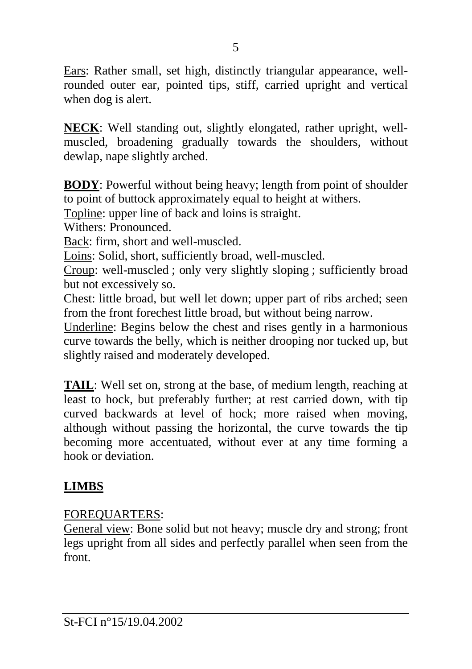Ears: Rather small, set high, distinctly triangular appearance, wellrounded outer ear, pointed tips, stiff, carried upright and vertical when dog is alert.

**NECK**: Well standing out, slightly elongated, rather upright, wellmuscled, broadening gradually towards the shoulders, without dewlap, nape slightly arched.

**BODY**: Powerful without being heavy; length from point of shoulder to point of buttock approximately equal to height at withers.

Topline: upper line of back and loins is straight.

Withers: Pronounced.

Back: firm, short and well-muscled.

Loins: Solid, short, sufficiently broad, well-muscled.

Croup: well-muscled ; only very slightly sloping ; sufficiently broad but not excessively so.

Chest: little broad, but well let down; upper part of ribs arched; seen from the front forechest little broad, but without being narrow.

Underline: Begins below the chest and rises gently in a harmonious curve towards the belly, which is neither drooping nor tucked up, but slightly raised and moderately developed.

**TAIL**: Well set on, strong at the base, of medium length, reaching at least to hock, but preferably further; at rest carried down, with tip curved backwards at level of hock; more raised when moving, although without passing the horizontal, the curve towards the tip becoming more accentuated, without ever at any time forming a hook or deviation.

# **LIMBS**

#### FOREQUARTERS:

General view: Bone solid but not heavy; muscle dry and strong; front legs upright from all sides and perfectly parallel when seen from the front.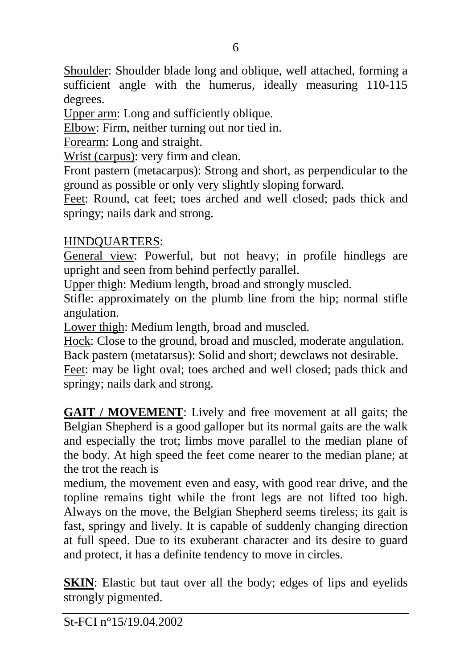Shoulder: Shoulder blade long and oblique, well attached, forming a sufficient angle with the humerus, ideally measuring 110-115 degrees.

Upper arm: Long and sufficiently oblique.

Elbow: Firm, neither turning out nor tied in.

Forearm: Long and straight.

Wrist (carpus): very firm and clean.

Front pastern (metacarpus): Strong and short, as perpendicular to the ground as possible or only very slightly sloping forward.

Feet: Round, cat feet; toes arched and well closed; pads thick and springy; nails dark and strong.

#### HINDQUARTERS:

General view: Powerful, but not heavy; in profile hindlegs are upright and seen from behind perfectly parallel.

Upper thigh: Medium length, broad and strongly muscled.

Stifle: approximately on the plumb line from the hip; normal stifle angulation.

Lower thigh: Medium length, broad and muscled.

Hock: Close to the ground, broad and muscled, moderate angulation. Back pastern (metatarsus): Solid and short; dewclaws not desirable.

Feet: may be light oval; toes arched and well closed; pads thick and springy; nails dark and strong.

**GAIT / MOVEMENT**: Lively and free movement at all gaits; the Belgian Shepherd is a good galloper but its normal gaits are the walk and especially the trot; limbs move parallel to the median plane of the body. At high speed the feet come nearer to the median plane; at the trot the reach is

medium, the movement even and easy, with good rear drive, and the topline remains tight while the front legs are not lifted too high. Always on the move, the Belgian Shepherd seems tireless; its gait is fast, springy and lively. It is capable of suddenly changing direction at full speed. Due to its exuberant character and its desire to guard and protect, it has a definite tendency to move in circles.

**SKIN**: Elastic but taut over all the body; edges of lips and eyelids strongly pigmented.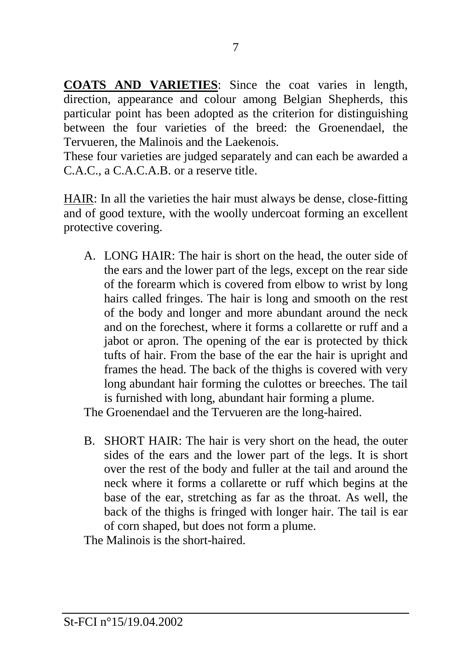**COATS AND VARIETIES**: Since the coat varies in length, direction, appearance and colour among Belgian Shepherds, this particular point has been adopted as the criterion for distinguishing between the four varieties of the breed: the Groenendael, the Tervueren, the Malinois and the Laekenois.

These four varieties are judged separately and can each be awarded a C.A.C., a C.A.C.A.B. or a reserve title.

HAIR: In all the varieties the hair must always be dense, close-fitting and of good texture, with the woolly undercoat forming an excellent protective covering.

A. LONG HAIR: The hair is short on the head, the outer side of the ears and the lower part of the legs, except on the rear side of the forearm which is covered from elbow to wrist by long hairs called fringes. The hair is long and smooth on the rest of the body and longer and more abundant around the neck and on the forechest, where it forms a collarette or ruff and a jabot or apron. The opening of the ear is protected by thick tufts of hair. From the base of the ear the hair is upright and frames the head. The back of the thighs is covered with very long abundant hair forming the culottes or breeches. The tail is furnished with long, abundant hair forming a plume.

The Groenendael and the Tervueren are the long-haired.

B. SHORT HAIR: The hair is very short on the head, the outer sides of the ears and the lower part of the legs. It is short over the rest of the body and fuller at the tail and around the neck where it forms a collarette or ruff which begins at the base of the ear, stretching as far as the throat. As well, the back of the thighs is fringed with longer hair. The tail is ear of corn shaped, but does not form a plume.

The Malinois is the short-haired.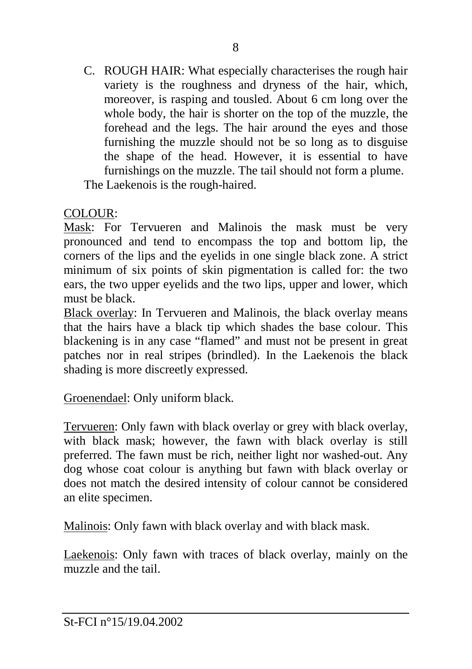C. ROUGH HAIR: What especially characterises the rough hair variety is the roughness and dryness of the hair, which, moreover, is rasping and tousled. About 6 cm long over the whole body, the hair is shorter on the top of the muzzle, the forehead and the legs. The hair around the eyes and those furnishing the muzzle should not be so long as to disguise the shape of the head. However, it is essential to have furnishings on the muzzle. The tail should not form a plume. The Laekenois is the rough-haired.

#### COLOUR:

Mask: For Tervueren and Malinois the mask must be very pronounced and tend to encompass the top and bottom lip, the corners of the lips and the eyelids in one single black zone. A strict minimum of six points of skin pigmentation is called for: the two ears, the two upper eyelids and the two lips, upper and lower, which must be black.

Black overlay: In Tervueren and Malinois, the black overlay means that the hairs have a black tip which shades the base colour. This blackening is in any case "flamed" and must not be present in great patches nor in real stripes (brindled). In the Laekenois the black shading is more discreetly expressed.

Groenendael: Only uniform black.

Tervueren: Only fawn with black overlay or grey with black overlay, with black mask; however, the fawn with black overlay is still preferred. The fawn must be rich, neither light nor washed-out. Any dog whose coat colour is anything but fawn with black overlay or does not match the desired intensity of colour cannot be considered an elite specimen.

Malinois: Only fawn with black overlay and with black mask.

Laekenois: Only fawn with traces of black overlay, mainly on the muzzle and the tail.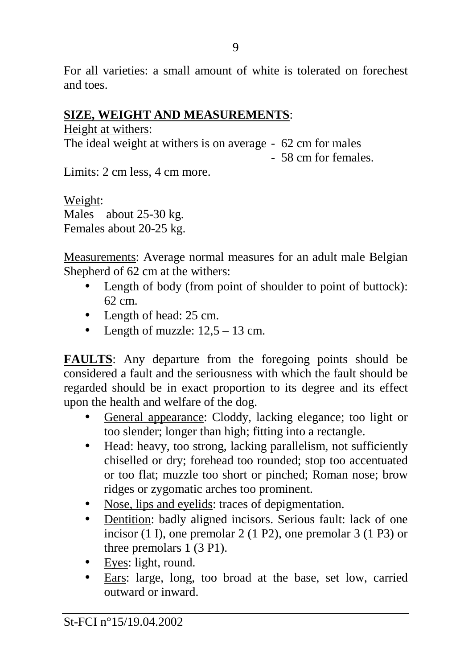For all varieties: a small amount of white is tolerated on forechest and toes.

#### **SIZE, WEIGHT AND MEASUREMENTS**:

Height at withers: The ideal weight at withers is on average - 62 cm for males - 58 cm for females.

Limits: 2 cm less, 4 cm more.

Weight: Males about 25-30 kg. Females about 20-25 kg.

Measurements: Average normal measures for an adult male Belgian Shepherd of 62 cm at the withers:

- Length of body (from point of shoulder to point of buttock): 62 cm.
- Length of head: 25 cm.
- Length of muzzle:  $12.5 13$  cm.

**FAULTS**: Any departure from the foregoing points should be considered a fault and the seriousness with which the fault should be regarded should be in exact proportion to its degree and its effect upon the health and welfare of the dog.

- General appearance: Cloddy, lacking elegance; too light or too slender; longer than high; fitting into a rectangle.
- Head: heavy, too strong, lacking parallelism, not sufficiently chiselled or dry; forehead too rounded; stop too accentuated or too flat; muzzle too short or pinched; Roman nose; brow ridges or zygomatic arches too prominent.
- Nose, lips and eyelids: traces of depigmentation.
- Dentition: badly aligned incisors. Serious fault: lack of one incisor (1 I), one premolar 2 (1 P2), one premolar 3 (1 P3) or three premolars 1 (3 P1).
- Eyes: light, round.
- Ears: large, long, too broad at the base, set low, carried outward or inward.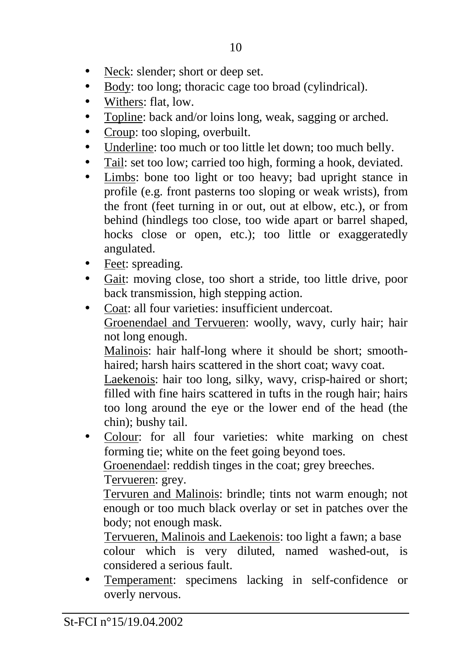- Neck: slender; short or deep set.
- Body: too long; thoracic cage too broad (cylindrical).
- Withers: flat, low.
- Topline: back and/or loins long, weak, sagging or arched.
- Croup: too sloping, overbuilt.
- Underline: too much or too little let down; too much belly.
- Tail: set too low; carried too high, forming a hook, deviated.
- Limbs: bone too light or too heavy; bad upright stance in profile (e.g. front pasterns too sloping or weak wrists), from the front (feet turning in or out, out at elbow, etc.), or from behind (hindlegs too close, too wide apart or barrel shaped, hocks close or open, etc.); too little or exaggeratedly angulated.
- Feet: spreading.
- Gait: moving close, too short a stride, too little drive, poor back transmission, high stepping action.
- Coat: all four varieties: insufficient undercoat. Groenendael and Tervueren: woolly, wavy, curly hair; hair not long enough.

Malinois: hair half-long where it should be short; smoothhaired; harsh hairs scattered in the short coat; wavy coat.

Laekenois: hair too long, silky, wavy, crisp-haired or short; filled with fine hairs scattered in tufts in the rough hair; hairs too long around the eye or the lower end of the head (the chin); bushy tail.

• Colour: for all four varieties: white marking on chest forming tie; white on the feet going beyond toes.

Groenendael: reddish tinges in the coat; grey breeches.

Tervueren: grey.

Tervuren and Malinois: brindle; tints not warm enough; not enough or too much black overlay or set in patches over the body; not enough mask.

 Tervueren, Malinois and Laekenois: too light a fawn; a base colour which is very diluted, named washed-out, is considered a serious fault.

• Temperament: specimens lacking in self-confidence or overly nervous.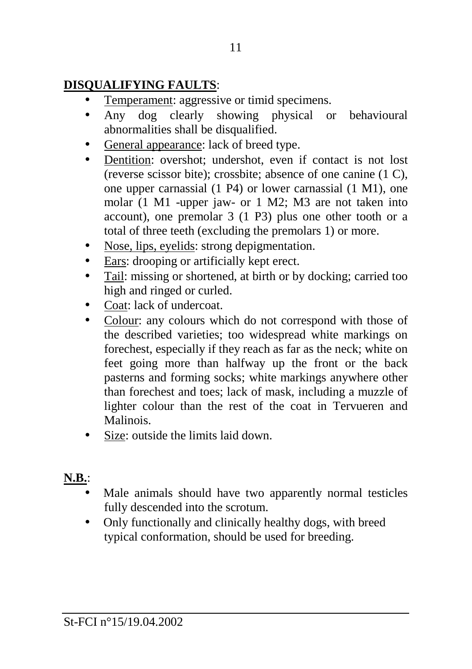## **DISQUALIFYING FAULTS**:

- Temperament: aggressive or timid specimens.
- Any dog clearly showing physical or behavioural abnormalities shall be disqualified.
- General appearance: lack of breed type.
- Dentition: overshot; undershot, even if contact is not lost (reverse scissor bite); crossbite; absence of one canine (1 C), one upper carnassial (1 P4) or lower carnassial (1 M1), one molar (1 M1 -upper jaw- or 1 M2; M3 are not taken into account), one premolar 3 (1 P3) plus one other tooth or a total of three teeth (excluding the premolars 1) or more.
- Nose, lips, eyelids: strong depigmentation.
- Ears: drooping or artificially kept erect.
- Tail: missing or shortened, at birth or by docking; carried too high and ringed or curled.
- Coat: lack of undercoat.
- Colour: any colours which do not correspond with those of the described varieties; too widespread white markings on forechest, especially if they reach as far as the neck; white on feet going more than halfway up the front or the back pasterns and forming socks; white markings anywhere other than forechest and toes; lack of mask, including a muzzle of lighter colour than the rest of the coat in Tervueren and Malinois.
- Size: outside the limits laid down.

# **N.B.**:

- Male animals should have two apparently normal testicles fully descended into the scrotum.
- Only functionally and clinically healthy dogs, with breed typical conformation, should be used for breeding.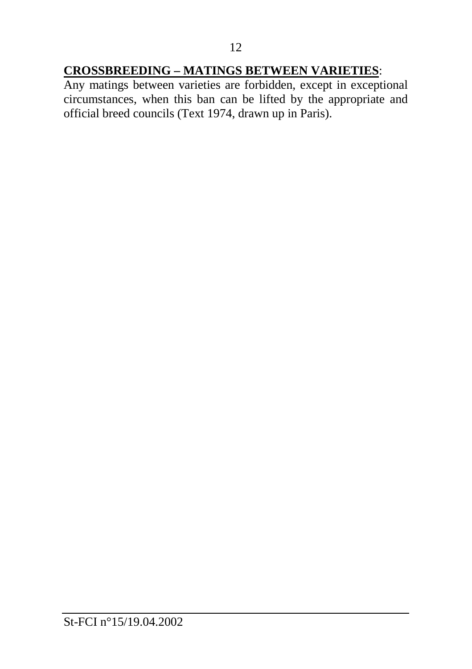# **CROSSBREEDING – MATINGS BETWEEN VARIETIES**:

Any matings between varieties are forbidden, except in exceptional circumstances, when this ban can be lifted by the appropriate and official breed councils (Text 1974, drawn up in Paris).